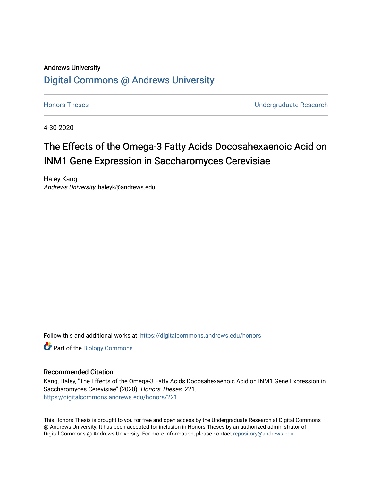# Andrews University [Digital Commons @ Andrews University](https://digitalcommons.andrews.edu/)

[Honors Theses](https://digitalcommons.andrews.edu/honors) [Undergraduate Research](https://digitalcommons.andrews.edu/undergrad) 

4-30-2020

# The Effects of the Omega-3 Fatty Acids Docosahexaenoic Acid on INM1 Gene Expression in Saccharomyces Cerevisiae

Haley Kang Andrews University, haleyk@andrews.edu

Follow this and additional works at: [https://digitalcommons.andrews.edu/honors](https://digitalcommons.andrews.edu/honors?utm_source=digitalcommons.andrews.edu%2Fhonors%2F221&utm_medium=PDF&utm_campaign=PDFCoverPages) 

Part of the [Biology Commons](http://network.bepress.com/hgg/discipline/41?utm_source=digitalcommons.andrews.edu%2Fhonors%2F221&utm_medium=PDF&utm_campaign=PDFCoverPages) 

# Recommended Citation

Kang, Haley, "The Effects of the Omega-3 Fatty Acids Docosahexaenoic Acid on INM1 Gene Expression in Saccharomyces Cerevisiae" (2020). Honors Theses. 221. [https://digitalcommons.andrews.edu/honors/221](https://digitalcommons.andrews.edu/honors/221?utm_source=digitalcommons.andrews.edu%2Fhonors%2F221&utm_medium=PDF&utm_campaign=PDFCoverPages) 

This Honors Thesis is brought to you for free and open access by the Undergraduate Research at Digital Commons @ Andrews University. It has been accepted for inclusion in Honors Theses by an authorized administrator of Digital Commons @ Andrews University. For more information, please contact [repository@andrews.edu](mailto:repository@andrews.edu).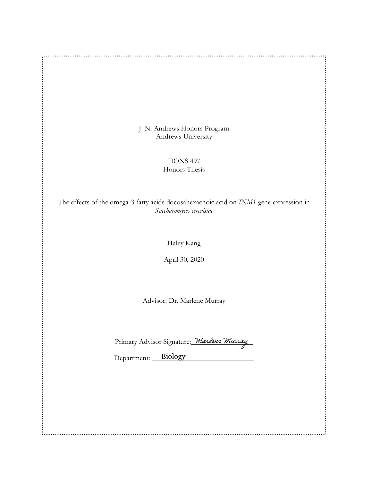J. N. Andrews Honors Program Andrews University

................

 $\vdots$ 

:.

 $\cdot$  :

HONS 497 Honors Thesis

The effects of the omega-3 fatty acids docosahexaenoic acid on *INM1* gene expression in *Saccharomyces cerevisiae*

Haley Kang

April 30, 2020

Advisor: Dr. Marlene Murray

Primary Advisor Signature: *Marlene Murray* 

Department: Biology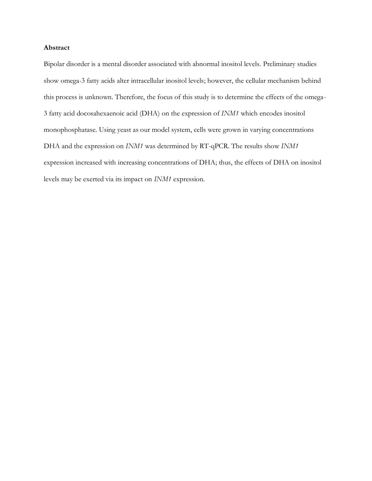### **Abstract**

Bipolar disorder is a mental disorder associated with abnormal inositol levels. Preliminary studies show omega-3 fatty acids alter intracellular inositol levels; however, the cellular mechanism behind this process is unknown. Therefore, the focus of this study is to determine the effects of the omega-3 fatty acid docosahexaenoic acid (DHA) on the expression of *INM1* which encodes inositol monophosphatase. Using yeast as our model system, cells were grown in varying concentrations DHA and the expression on *INM1* was determined by RT-qPCR. The results show *INM1* expression increased with increasing concentrations of DHA; thus, the effects of DHA on inositol levels may be exerted via its impact on *INM1* expression.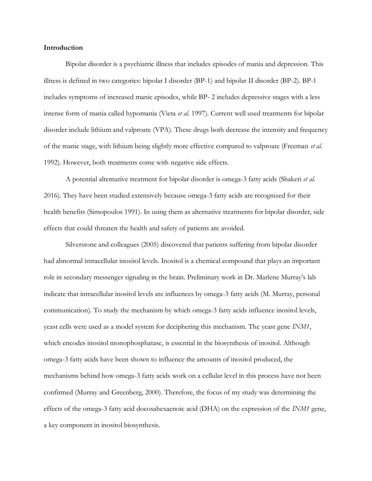# **Introduction**

Bipolar disorder is a psychiatric illness that includes episodes of mania and depression. This illness is defined in two categories: bipolar I disorder (BP-1) and bipolar II disorder (BP-2). BP-1 includes symptoms of increased manic episodes, while BP- 2 includes depressive stages with a less intense form of mania called hypomania (Vieta *et al.* 1997). Current well used treatments for bipolar disorder include lithium and valproate (VPA). These drugs both decrease the intensity and frequency of the manic stage, with lithium being slightly more effective compared to valproate (Freeman *et al.*  1992). However, both treatments come with negative side effects.

A potential alternative treatment for bipolar disorder is omega-3 fatty acids (Shakeri *et al.*  2016). They have been studied extensively because omega-3 fatty acids are recognized for their health benefits (Simopoulos 1991). In using them as alternative treatments for bipolar disorder, side effects that could threaten the health and safety of patients are avoided.

Silverstone and colleagues (2005) discovered that patients suffering from bipolar disorder had abnormal intracellular inositol levels. Inositol is a chemical compound that plays an important role in secondary messenger signaling in the brain. Preliminary work in Dr. Marlene Murray's lab indicate that intracellular inositol levels are influences by omega-3 fatty acids (M. Murray, personal communication). To study the mechanism by which omega-3 fatty acids influence inositol levels, yeast cells were used as a model system for deciphering this mechanism. The yeast gene *INM1*, which encodes inositol monophosphatase, is essential in the biosynthesis of inositol. Although omega-3 fatty acids have been shown to influence the amounts of inositol produced, the mechanisms behind how omega-3 fatty acids work on a cellular level in this process have not been confirmed (Murray and Greenberg, 2000). Therefore, the focus of my study was determining the effects of the omega-3 fatty acid docosahexaenoic acid (DHA) on the expression of the *INM1* gene, a key component in inositol biosynthesis.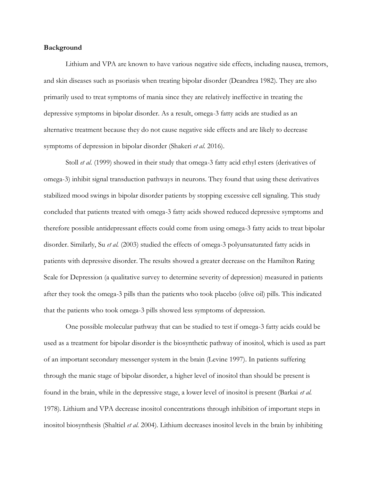#### **Background**

Lithium and VPA are known to have various negative side effects, including nausea, tremors, and skin diseases such as psoriasis when treating bipolar disorder (Deandrea 1982). They are also primarily used to treat symptoms of mania since they are relatively ineffective in treating the depressive symptoms in bipolar disorder. As a result, omega-3 fatty acids are studied as an alternative treatment because they do not cause negative side effects and are likely to decrease symptoms of depression in bipolar disorder (Shakeri *et al.* 2016).

Stoll *et al.* (1999) showed in their study that omega-3 fatty acid ethyl esters (derivatives of omega-3) inhibit signal transduction pathways in neurons. They found that using these derivatives stabilized mood swings in bipolar disorder patients by stopping excessive cell signaling. This study concluded that patients treated with omega-3 fatty acids showed reduced depressive symptoms and therefore possible antidepressant effects could come from using omega-3 fatty acids to treat bipolar disorder. Similarly, Su *et al.* (2003) studied the effects of omega-3 polyunsaturated fatty acids in patients with depressive disorder. The results showed a greater decrease on the Hamilton Rating Scale for Depression (a qualitative survey to determine severity of depression) measured in patients after they took the omega-3 pills than the patients who took placebo (olive oil) pills. This indicated that the patients who took omega-3 pills showed less symptoms of depression.

One possible molecular pathway that can be studied to test if omega-3 fatty acids could be used as a treatment for bipolar disorder is the biosynthetic pathway of inositol, which is used as part of an important secondary messenger system in the brain (Levine 1997). In patients suffering through the manic stage of bipolar disorder, a higher level of inositol than should be present is found in the brain, while in the depressive stage, a lower level of inositol is present (Barkai *et al.*  1978). Lithium and VPA decrease inositol concentrations through inhibition of important steps in inositol biosynthesis (Shaltiel *et al.* 2004). Lithium decreases inositol levels in the brain by inhibiting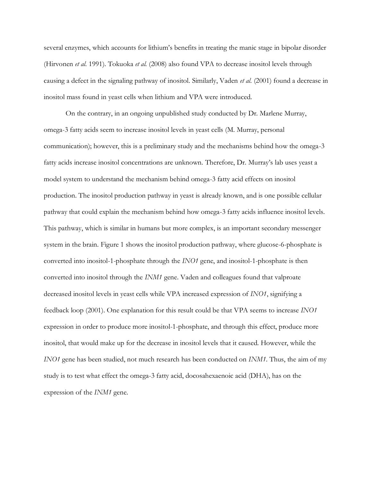several enzymes, which accounts for lithium's benefits in treating the manic stage in bipolar disorder (Hirvonen *et al.* 1991). Tokuoka *et al.* (2008) also found VPA to decrease inositol levels through causing a defect in the signaling pathway of inositol. Similarly, Vaden *et al.* (2001) found a decrease in inositol mass found in yeast cells when lithium and VPA were introduced.

On the contrary, in an ongoing unpublished study conducted by Dr. Marlene Murray, omega-3 fatty acids seem to increase inositol levels in yeast cells (M. Murray, personal communication); however, this is a preliminary study and the mechanisms behind how the omega-3 fatty acids increase inositol concentrations are unknown. Therefore, Dr. Murray's lab uses yeast a model system to understand the mechanism behind omega-3 fatty acid effects on inositol production. The inositol production pathway in yeast is already known, and is one possible cellular pathway that could explain the mechanism behind how omega-3 fatty acids influence inositol levels. This pathway, which is similar in humans but more complex, is an important secondary messenger system in the brain. Figure 1 shows the inositol production pathway, where glucose-6-phosphate is converted into inositol-1-phosphate through the *INO1* gene, and inositol-1-phosphate is then converted into inositol through the *INM1* gene. Vaden and colleagues found that valproate decreased inositol levels in yeast cells while VPA increased expression of *INO1*, signifying a feedback loop (2001). One explanation for this result could be that VPA seems to increase *INO1* expression in order to produce more inositol-1-phosphate, and through this effect, produce more inositol, that would make up for the decrease in inositol levels that it caused. However, while the *INO1* gene has been studied, not much research has been conducted on *INM1*. Thus, the aim of my study is to test what effect the omega-3 fatty acid, docosahexaenoic acid (DHA), has on the expression of the *INM1* gene.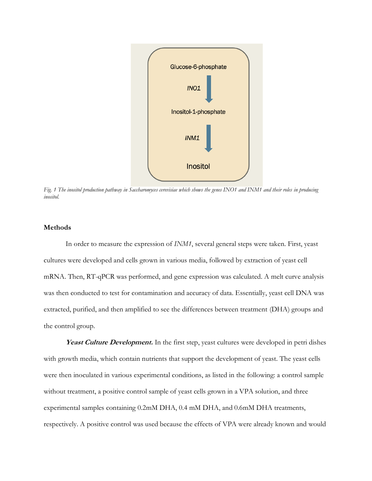

*Fig. 1 The inositol production pathway in Saccharomyces cerevisiae which shows the genes INO1 and INM1 and their roles in producing inositol.*

# **Methods**

In order to measure the expression of *INM1*, several general steps were taken. First, yeast cultures were developed and cells grown in various media, followed by extraction of yeast cell mRNA. Then, RT-qPCR was performed, and gene expression was calculated. A melt curve analysis was then conducted to test for contamination and accuracy of data. Essentially, yeast cell DNA was extracted, purified, and then amplified to see the differences between treatment (DHA) groups and the control group.

Yeast Culture Development. In the first step, yeast cultures were developed in petri dishes with growth media, which contain nutrients that support the development of yeast. The yeast cells were then inoculated in various experimental conditions, as listed in the following: a control sample without treatment, a positive control sample of yeast cells grown in a VPA solution, and three experimental samples containing 0.2mM DHA, 0.4 mM DHA, and 0.6mM DHA treatments, respectively. A positive control was used because the effects of VPA were already known and would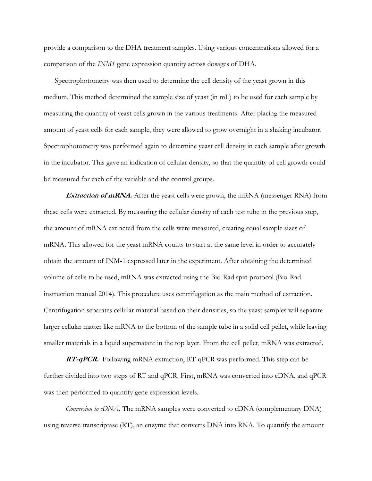provide a comparison to the DHA treatment samples. Using various concentrations allowed for a comparison of the *INM1* gene expression quantity across dosages of DHA.

Spectrophotometry was then used to determine the cell density of the yeast grown in this medium. This method determined the sample size of yeast (in mL) to be used for each sample by measuring the quantity of yeast cells grown in the various treatments. After placing the measured amount of yeast cells for each sample, they were allowed to grow overnight in a shaking incubator. Spectrophotometry was performed again to determine yeast cell density in each sample after growth in the incubator. This gave an indication of cellular density, so that the quantity of cell growth could be measured for each of the variable and the control groups.

**Extraction of mRNA.** After the yeast cells were grown, the mRNA (messenger RNA) from these cells were extracted. By measuring the cellular density of each test tube in the previous step, the amount of mRNA extracted from the cells were measured, creating equal sample sizes of mRNA. This allowed for the yeast mRNA counts to start at the same level in order to accurately obtain the amount of INM-1 expressed later in the experiment. After obtaining the determined volume of cells to be used, mRNA was extracted using the Bio-Rad spin protocol (Bio-Rad instruction manual 2014). This procedure uses centrifugation as the main method of extraction. Centrifugation separates cellular material based on their densities, so the yeast samples will separate larger cellular matter like mRNA to the bottom of the sample tube in a solid cell pellet, while leaving smaller materials in a liquid supernatant in the top layer. From the cell pellet, mRNA was extracted.

**RT-qPCR.** Following mRNA extraction, RT-qPCR was performed. This step can be further divided into two steps of RT and qPCR. First, mRNA was converted into cDNA, and qPCR was then performed to quantify gene expression levels.

*Conversion to cDNA.* The mRNA samples were converted to cDNA (complementary DNA) using reverse transcriptase (RT), an enzyme that converts DNA into RNA. To quantify the amount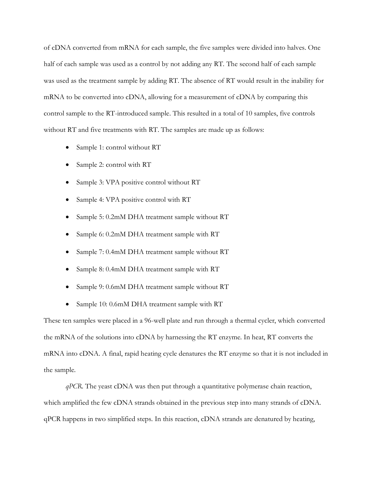of cDNA converted from mRNA for each sample, the five samples were divided into halves. One half of each sample was used as a control by not adding any RT. The second half of each sample was used as the treatment sample by adding RT. The absence of RT would result in the inability for mRNA to be converted into cDNA, allowing for a measurement of cDNA by comparing this control sample to the RT-introduced sample. This resulted in a total of 10 samples, five controls without RT and five treatments with RT. The samples are made up as follows:

- Sample 1: control without RT
- Sample 2: control with RT
- Sample 3: VPA positive control without RT
- Sample 4: VPA positive control with RT
- Sample 5: 0.2mM DHA treatment sample without RT
- Sample 6: 0.2mM DHA treatment sample with RT
- Sample 7: 0.4mM DHA treatment sample without RT
- Sample 8: 0.4mM DHA treatment sample with RT
- Sample 9: 0.6mM DHA treatment sample without RT
- Sample 10: 0.6mM DHA treatment sample with RT

These ten samples were placed in a 96-well plate and run through a thermal cycler, which converted the mRNA of the solutions into cDNA by harnessing the RT enzyme. In heat, RT converts the mRNA into cDNA. A final, rapid heating cycle denatures the RT enzyme so that it is not included in the sample.

*qPCR.* The yeast cDNA was then put through a quantitative polymerase chain reaction, which amplified the few cDNA strands obtained in the previous step into many strands of cDNA. qPCR happens in two simplified steps. In this reaction, cDNA strands are denatured by heating,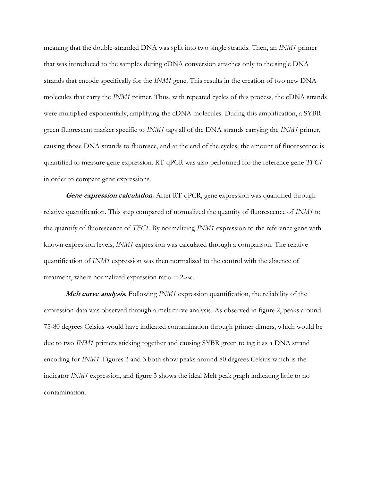meaning that the double-stranded DNA was split into two single strands. Then, an *INM1* primer that was introduced to the samples during cDNA conversion attaches only to the single DNA strands that encode specifically for the *INM1* gene. This results in the creation of two new DNA molecules that carry the *INM1* primer. Thus, with repeated cycles of this process, the cDNA strands were multiplied exponentially, amplifying the cDNA molecules. During this amplification, a SYBR green fluorescent marker specific to *INM1* tags all of the DNA strands carrying the *INM1* primer, causing those DNA strands to fluoresce, and at the end of the cycles, the amount of fluorescence is quantified to measure gene expression. RT-qPCR was also performed for the reference gene *TFC1* in order to compare gene expressions.

**Gene expression calculation.** After RT-qPCR, gene expression was quantified through relative quantification. This step compared of normalized the quantity of fluorescence of *INM1* to the quantify of fluorescence of *TFC1*. By normalizing *INM1* expression to the reference gene with known expression levels, *INM1* expression was calculated through a comparison. The relative quantification of *INM1* expression was then normalized to the control with the absence of treatment, where normalized expression ratio =  $2$ -∆∆ $c$ t.

**Melt curve analysis.** Following *INM1* expression quantification, the reliability of the expression data was observed through a melt curve analysis. As observed in figure 2, peaks around 75-80 degrees Celsius would have indicated contamination through primer dimers, which would be due to two *INM1* primers sticking together and causing SYBR green to tag it as a DNA strand encoding for *INM1*. Figures 2 and 3 both show peaks around 80 degrees Celsius which is the indicator *INM1* expression, and figure 3 shows the ideal Melt peak graph indicating little to no contamination.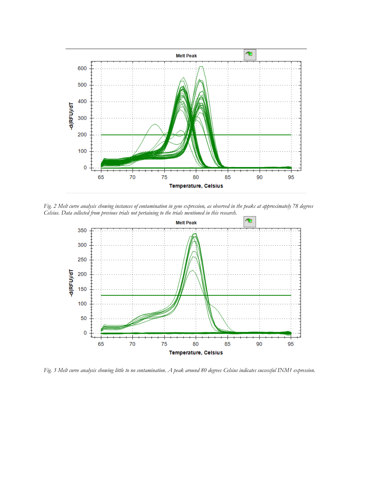

*Fig. 2 Melt curve analysis showing instances of contamination in gene expression, as observed in the peaks at approximately 78 degrees Celsius. Data collected from previous trials not pertaining to the trials mentioned in this research.*



*Fig. 3 Melt curve analysis showing little to no contamination. A peak around 80 degrees Celsius indicates successful INM1 expression.*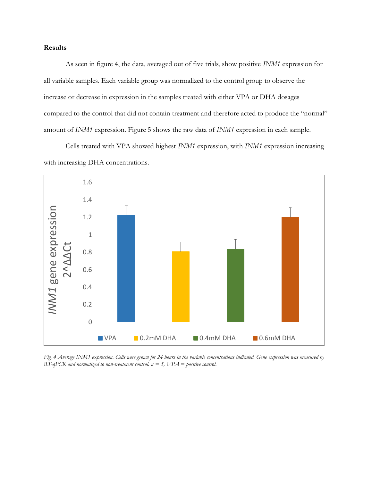# **Results**

As seen in figure 4, the data, averaged out of five trials, show positive *INM1* expression for all variable samples. Each variable group was normalized to the control group to observe the increase or decrease in expression in the samples treated with either VPA or DHA dosages compared to the control that did not contain treatment and therefore acted to produce the "normal" amount of *INM1* expression. Figure 5 shows the raw data of *INM1* expression in each sample.

Cells treated with VPA showed highest *INM1* expression, with *INM1* expression increasing with increasing DHA concentrations.



*Fig. 4 Average INM1 expression. Cells were grown for 24 hours in the variable concentrations indicated. Gene expression was measured by RT-qPCR and normalized to non-treatment control. n = 5, VPA = positive control.*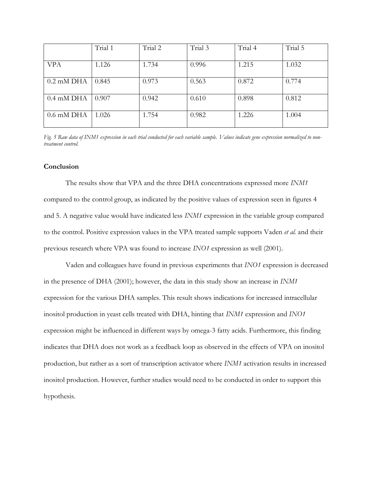|                      | Trial 1 | Trial 2 | Trial 3 | Trial 4 | Trial 5 |
|----------------------|---------|---------|---------|---------|---------|
| <b>VPA</b>           | 1.126   | 1.734   | 0.996   | 1.215   | 1.032   |
| $0.2 \text{ mM}$ DHA | 0.845   | 0.973   | 0.563   | 0.872   | 0.774   |
|                      |         |         |         |         |         |
| $0.4 \text{ mM}$ DHA | 0.907   | 0.942   | 0.610   | 0.898   | 0.812   |
| $0.6$ mM DHA         | 1.026   | 1.754   | 0.982   | 1.226   | 1.004   |

*Fig. 5 Raw data of INM1 expression in each trial conducted for each variable sample. Values indicate gene expression normalized to nontreatment control.* 

#### **Conclusion**

The results show that VPA and the three DHA concentrations expressed more *INM1* compared to the control group, as indicated by the positive values of expression seen in figures 4 and 5. A negative value would have indicated less *INM1* expression in the variable group compared to the control. Positive expression values in the VPA treated sample supports Vaden *et al.* and their previous research where VPA was found to increase *INO1* expression as well (2001).

Vaden and colleagues have found in previous experiments that *INO1* expression is decreased in the presence of DHA (2001); however, the data in this study show an increase in *INM1* expression for the various DHA samples. This result shows indications for increased intracellular inositol production in yeast cells treated with DHA, hinting that *INM1* expression and *INO1* expression might be influenced in different ways by omega-3 fatty acids. Furthermore, this finding indicates that DHA does not work as a feedback loop as observed in the effects of VPA on inositol production, but rather as a sort of transcription activator where *INM1* activation results in increased inositol production. However, further studies would need to be conducted in order to support this hypothesis.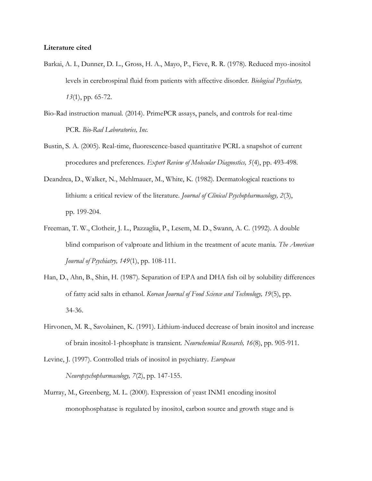#### **Literature cited**

- Barkai, A. I., Dunner, D. L., Gross, H. A., Mayo, P., Fieve, R. R. (1978). Reduced myo-inositol levels in cerebrospinal fluid from patients with affective disorder. *Biological Psychiatry, 13*(1), pp. 65-72.
- Bio-Rad instruction manual. (2014). PrimePCR assays, panels, and controls for real-time PCR. *Bio-Rad Laboratories, Inc.*
- Bustin, S. A. (2005). Real-time, fluorescence-based quantitative PCRL a snapshot of current procedures and preferences. *Expert Review of Molecular Diagnostics, 5*(4), pp. 493-498.
- Deandrea, D., Walker, N., Mehlmauer, M., White, K. (1982). Dermatological reactions to lithium: a critical review of the literature. *Journal of Clinical Psychopharmacology, 2*(3), pp. 199-204.
- Freeman, T. W., Clotheir, J. L., Pazzaglia, P., Lesem, M. D., Swann, A. C*.* (1992). A double blind comparison of valproate and lithium in the treatment of acute mania. *The American Journal of Psychiatry, 149*(1), pp. 108-111.
- Han, D., Ahn, B., Shin, H. (1987). Separation of EPA and DHA fish oil by solubility differences of fatty acid salts in ethanol. *Korean Journal of Food Science and Technology, 19*(5), pp. 34-36.
- Hirvonen, M. R., Savolainen, K. (1991). Lithium-induced decrease of brain inositol and increase of brain inositol-1-phosphate is transient. *Neurochemical Research, 16*(8), pp. 905-911.
- Levine, J. (1997). Controlled trials of inositol in psychiatry. *European Neuropsychopharmacology, 7*(2), pp. 147-155.
- Murray, M., Greenberg, M. L. (2000). Expression of yeast INM1 encoding inositol monophosphatase is regulated by inositol, carbon source and growth stage and is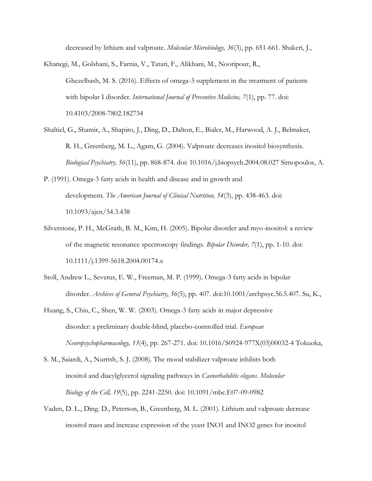decreased by lithium and valproate. *Molecular Microbiology, 36*(3), pp. 651-661. Shakeri, J.,

Khanegi, M., Golshani, S., Farnia, V., Tatari, F., Alikhani, M., Nooripour, R., Ghezelbash, M. S. (2016). Effects of omega-3 supplement in the treatment of patients with bipolar I disorder. *International Journal of Preventive Medicine, 7*(1), pp. 77. doi: 10.4103/2008-7802.182734

- Shaltiel, G., Shamir, A., Shapiro, J., Ding, D., Dalton, E., Bialer, M., Harwood, A. J., Belmaker, R. H., Greenberg, M. L., Agam, G. (2004). Valproate decreases inositol biosynthesis. *Biological Psychiatry, 56*(11), pp. 868-874. doi: 10.1016/j.biopsych.2004.08.027 Simopoulos, A.
- P. (1991). Omega-3 fatty acids in health and disease and in growth and development. *The American Journal of Clinical Nutrition, 54*(3), pp. 438-463. doi: 10.1093/ajcn/54.3.438
- Silverstone, P. H., McGrath, B. M., Kim, H. (2005). Bipolar disorder and myo-inositol: a review of the magnetic resonance spectroscopy findings. *Bipolar Disorder, 7*(1), pp. 1-10. doi: 10.1111/j.1399-5618.2004.00174.x
- Stoll, Andrew L., Severus, E. W., Freeman, M. P. (1999). Omega-3 fatty acids in bipolar disorder. *Archives of General Psychiatry*, *56*(5), pp. 407. doi:10.1001/archpsyc.56.5.407. Su, K.,
- Huang, S., Chiu, C., Shen, W. W. (2003). Omega-3 fatty acids in major depressive disorder: a preliminary double-blind, placebo-controlled trial. *European Neuropsychopharmacology, 13*(4), pp. 267-271. doi: 10.1016/S0924-977X(03)00032-4 Tokuoka,
- S. M., Saiardi, A., Nurrish, S. J. (2008). The mood stabilizer valproate inhibits both inositol and diacylglycerol signaling pathways in *Caenorhabditis elegans. Molecular Biology of the Cell, 19*(5), pp. 2241-2250. doi: 10.1091/mbc.E07-09-0982
- Vaden, D. L., Ding. D., Peterson, B., Greenberg, M. L. (2001). Lithium and valproate decrease inositol mass and increase expression of the yeast INO1 and INO2 genes for inositol